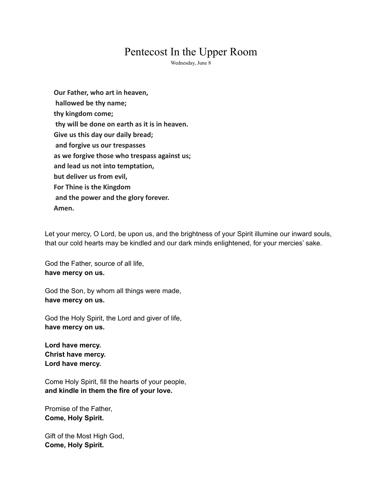## Pentecost In the Upper Room

Wednesday, June 8

**Our Father, who art in heaven, hallowed be thy name; thy kingdom come; thy will be done on earth as it is in heaven. Give us this day our daily bread; and forgive us our trespasses as we forgive those who trespass against us; and lead us not into temptation, but deliver us from evil, For Thine is the Kingdom and the power and the glory forever. Amen.**

Let your mercy, O Lord, be upon us, and the brightness of your Spirit illumine our inward souls, that our cold hearts may be kindled and our dark minds enlightened, for your mercies' sake.

God the Father, source of all life, **have mercy on us.**

God the Son, by whom all things were made, **have mercy on us.**

God the Holy Spirit, the Lord and giver of life, **have mercy on us.**

**Lord have mercy. Christ have mercy. Lord have mercy.**

Come Holy Spirit, fill the hearts of your people, **and kindle in them the fire of your love.**

Promise of the Father, **Come, Holy Spirit.**

Gift of the Most High God, **Come, Holy Spirit.**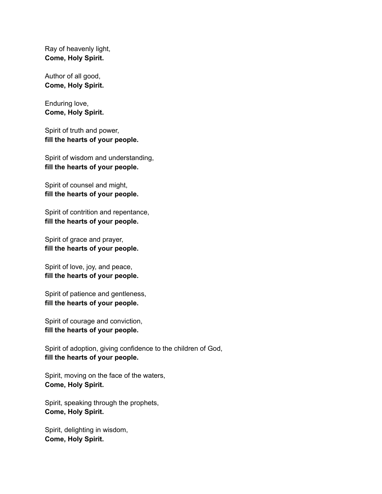Ray of heavenly light, **Come, Holy Spirit.**

Author of all good, **Come, Holy Spirit.**

Enduring love, **Come, Holy Spirit.**

Spirit of truth and power, **fill the hearts of your people.**

Spirit of wisdom and understanding, **fill the hearts of your people.**

Spirit of counsel and might, **fill the hearts of your people.**

Spirit of contrition and repentance, **fill the hearts of your people.**

Spirit of grace and prayer, **fill the hearts of your people.**

Spirit of love, joy, and peace, **fill the hearts of your people.**

Spirit of patience and gentleness, **fill the hearts of your people.**

Spirit of courage and conviction, **fill the hearts of your people.**

Spirit of adoption, giving confidence to the children of God, **fill the hearts of your people.**

Spirit, moving on the face of the waters, **Come, Holy Spirit.**

Spirit, speaking through the prophets, **Come, Holy Spirit.**

Spirit, delighting in wisdom, **Come, Holy Spirit.**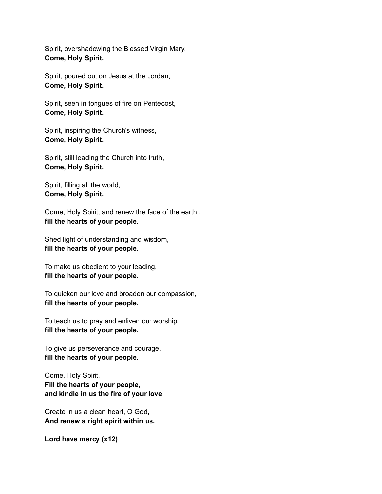Spirit, overshadowing the Blessed Virgin Mary, **Come, Holy Spirit.**

Spirit, poured out on Jesus at the Jordan, **Come, Holy Spirit.**

Spirit, seen in tongues of fire on Pentecost, **Come, Holy Spirit.**

Spirit, inspiring the Church's witness, **Come, Holy Spirit.**

Spirit, still leading the Church into truth, **Come, Holy Spirit.**

Spirit, filling all the world, **Come, Holy Spirit.**

Come, Holy Spirit, and renew the face of the earth , **fill the hearts of your people.**

Shed light of understanding and wisdom, **fill the hearts of your people.**

To make us obedient to your leading, **fill the hearts of your people.**

To quicken our love and broaden our compassion, **fill the hearts of your people.**

To teach us to pray and enliven our worship, **fill the hearts of your people.**

To give us perseverance and courage, **fill the hearts of your people.**

Come, Holy Spirit, **Fill the hearts of your people, and kindle in us the fire of your love**

Create in us a clean heart, O God, **And renew a right spirit within us.**

**Lord have mercy (x12)**